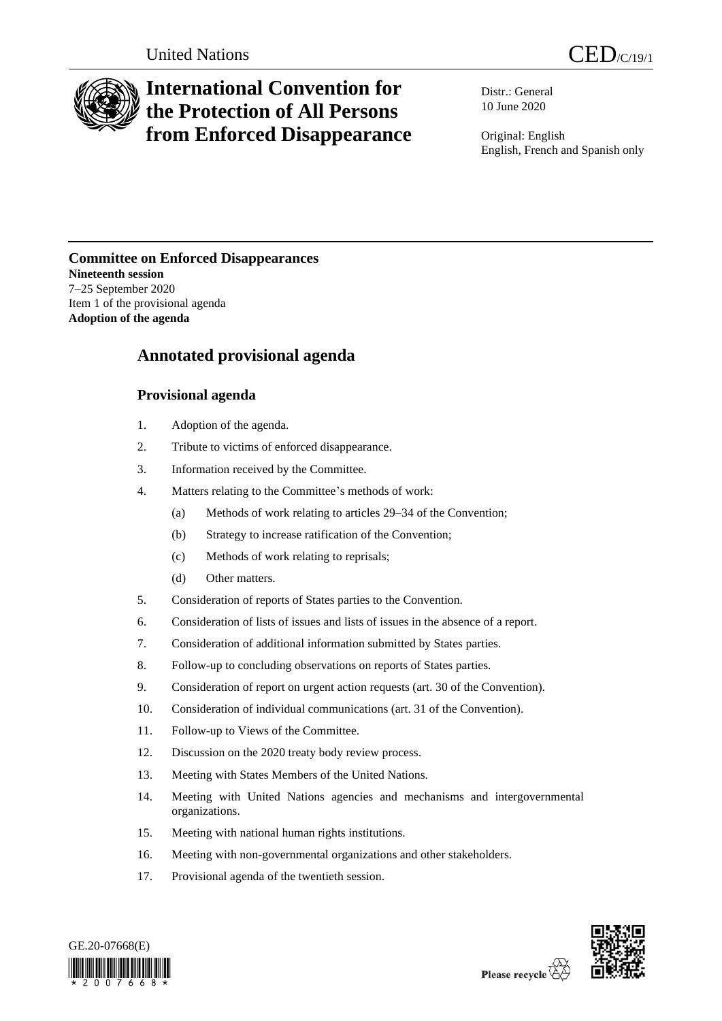

# **International Convention for the Protection of All Persons from Enforced Disappearance**

Distr.: General 10 June 2020

Original: English English, French and Spanish only

## **Committee on Enforced Disappearances Nineteenth session** 7–25 September 2020 Item 1 of the provisional agenda **Adoption of the agenda**

## **Annotated provisional agenda**

## **Provisional agenda**

- 1. Adoption of the agenda.
- 2. Tribute to victims of enforced disappearance.
- 3. Information received by the Committee.
- 4. Matters relating to the Committee's methods of work:
	- (a) Methods of work relating to articles 29–34 of the Convention;
	- (b) Strategy to increase ratification of the Convention;
	- (c) Methods of work relating to reprisals;
	- (d) Other matters.
- 5. Consideration of reports of States parties to the Convention.
- 6. Consideration of lists of issues and lists of issues in the absence of a report.
- 7. Consideration of additional information submitted by States parties.
- 8. Follow-up to concluding observations on reports of States parties.
- 9. Consideration of report on urgent action requests (art. 30 of the Convention).
- 10. Consideration of individual communications (art. 31 of the Convention).
- 11. Follow-up to Views of the Committee.
- 12. Discussion on the 2020 treaty body review process.
- 13. Meeting with States Members of the United Nations.
- 14. Meeting with United Nations agencies and mechanisms and intergovernmental organizations.
- 15. Meeting with national human rights institutions.
- 16. Meeting with non-governmental organizations and other stakeholders.
- 17. Provisional agenda of the twentieth session.



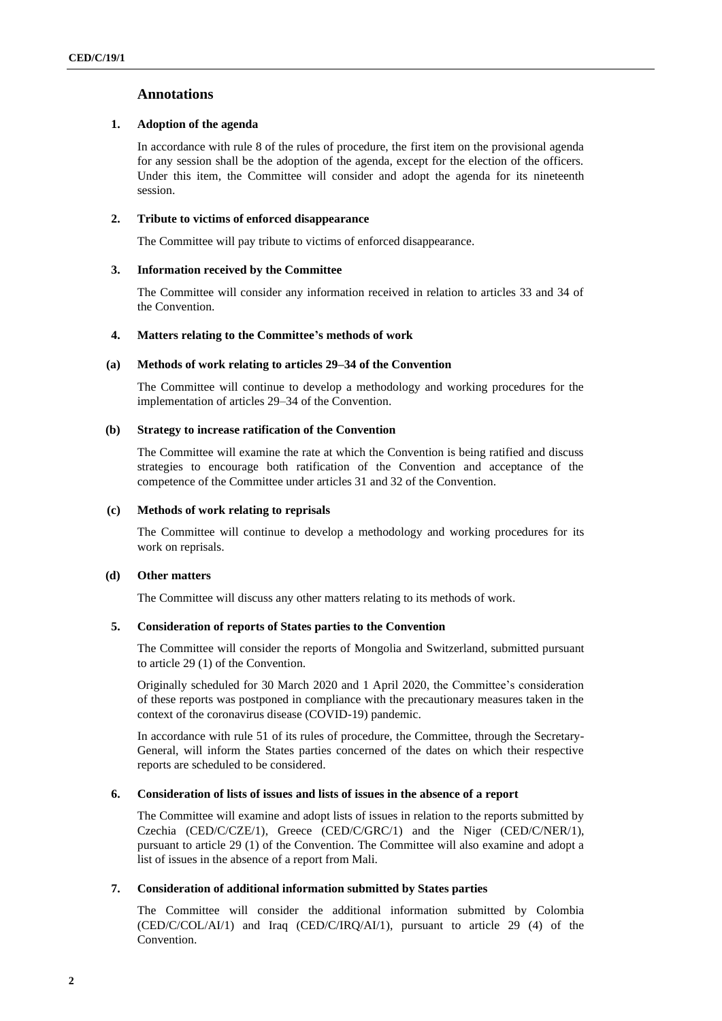## **Annotations**

## **1. Adoption of the agenda**

In accordance with rule 8 of the rules of procedure, the first item on the provisional agenda for any session shall be the adoption of the agenda, except for the election of the officers. Under this item, the Committee will consider and adopt the agenda for its nineteenth session.

## **2. Tribute to victims of enforced disappearance**

The Committee will pay tribute to victims of enforced disappearance.

## **3. Information received by the Committee**

The Committee will consider any information received in relation to articles 33 and 34 of the Convention.

## **4. Matters relating to the Committee's methods of work**

## **(a) Methods of work relating to articles 29–34 of the Convention**

The Committee will continue to develop a methodology and working procedures for the implementation of articles 29–34 of the Convention.

## **(b) Strategy to increase ratification of the Convention**

The Committee will examine the rate at which the Convention is being ratified and discuss strategies to encourage both ratification of the Convention and acceptance of the competence of the Committee under articles 31 and 32 of the Convention.

## **(c) Methods of work relating to reprisals**

The Committee will continue to develop a methodology and working procedures for its work on reprisals.

## **(d) Other matters**

The Committee will discuss any other matters relating to its methods of work.

## **5. Consideration of reports of States parties to the Convention**

The Committee will consider the reports of Mongolia and Switzerland, submitted pursuant to article 29 (1) of the Convention.

Originally scheduled for 30 March 2020 and 1 April 2020, the Committee's consideration of these reports was postponed in compliance with the precautionary measures taken in the context of the coronavirus disease (COVID-19) pandemic.

In accordance with rule 51 of its rules of procedure, the Committee, through the Secretary-General, will inform the States parties concerned of the dates on which their respective reports are scheduled to be considered.

## **6. Consideration of lists of issues and lists of issues in the absence of a report**

The Committee will examine and adopt lists of issues in relation to the reports submitted by Czechia (CED/C/CZE/1), Greece (CED/C/GRC/1) and the Niger (CED/C/NER/1), pursuant to article 29 (1) of the Convention. The Committee will also examine and adopt a list of issues in the absence of a report from Mali.

## **7. Consideration of additional information submitted by States parties**

The Committee will consider the additional information submitted by Colombia  $(CED/CCOL/AI/1)$  and Iraq  $(CED/CTRO/AI/1)$ , pursuant to article 29 (4) of the Convention.